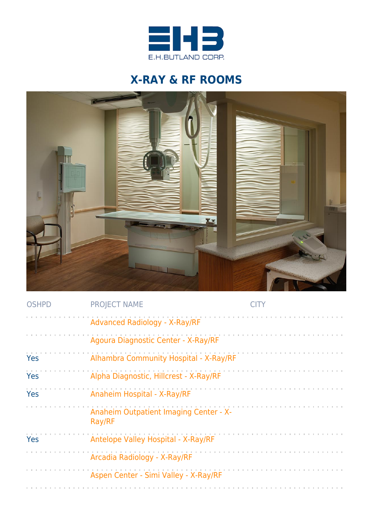

## **X-RAY & RF ROOMS**



| <b>OSHPD</b> | <b>PROJECT NAME</b>                              |  |
|--------------|--------------------------------------------------|--|
|              | <b>Advanced Radiology - X-Ray/RF</b>             |  |
|              | Agoura Diagnostic Center - X-Ray/RF              |  |
| Yes          | Alhambra Community Hospital - X-Ray/RF           |  |
| Yes          | Alpha Diagnostic, Hillcrest - X-Ray/RF           |  |
| Yes          | Anaheim Hospital - X-Ray/RF                      |  |
|              | Anaheim Outpatient Imaging Center - X-<br>Ray/RF |  |
| Yes          | Antelope Valley Hospital - X-Ray/RF              |  |
|              | Arcadia Radiology - X-Ray/RF                     |  |
|              | Aspen Center - Simi Valley - X-Ray/RF            |  |
|              |                                                  |  |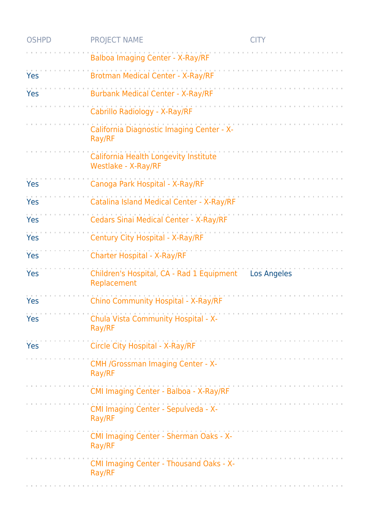| <b>OSHPD</b> | <b>PROJECT NAME</b>                                          | <b>CITY</b>                                                                                                                                                                                                                    |
|--------------|--------------------------------------------------------------|--------------------------------------------------------------------------------------------------------------------------------------------------------------------------------------------------------------------------------|
|              | Balboa Imaging Center - X-Ray/RF                             |                                                                                                                                                                                                                                |
| Yes          | <b>Brotman Medical Center - X-Ray/RF</b>                     |                                                                                                                                                                                                                                |
| Yes          | <b>Burbank Medical Center - X-Ray/RF</b>                     |                                                                                                                                                                                                                                |
|              | Cabrillo Radiology - X-Ray/RF                                |                                                                                                                                                                                                                                |
|              | California Diagnostic Imaging Center - X-<br>Ray/RF          |                                                                                                                                                                                                                                |
|              | California Health Longevity Institute<br>Westlake - X-Ray/RF |                                                                                                                                                                                                                                |
| Yes          | Canoga Park Hospital - X-Ray/RF                              |                                                                                                                                                                                                                                |
| Yes          | Catalina Island Medical Center - X-Ray/RF                    |                                                                                                                                                                                                                                |
| Yes          | Cedars Sinai Medical Center - X-Ray/RF                       |                                                                                                                                                                                                                                |
| Yes          | Century City Hospital - X-Ray/RF                             |                                                                                                                                                                                                                                |
| Yes          | <b>Charter Hospital - X-Ray/RF</b>                           |                                                                                                                                                                                                                                |
| Yes          | Children's Hospital, CA - Rad 1 Equipment<br>Replacement     | <b>Los Angeles</b>                                                                                                                                                                                                             |
| Yes          | Chino Community Hospital - X-Ray/RF                          |                                                                                                                                                                                                                                |
| Yes          | Chula Vista Community Hospital - X-<br>Ray/RF                |                                                                                                                                                                                                                                |
| Yes          | Circle City Hospital - X-Ray/RF                              |                                                                                                                                                                                                                                |
|              | CMH /Grossman Imaging Center - X-<br>Ray/RF                  | and the company of the company of the company of the company of the company of the company of the company of the company of the company of the company of the company of the company of the company of the company of the comp |
|              | CMI Imaging Center - Balboa - X-Ray/RF                       |                                                                                                                                                                                                                                |
|              | CMI Imaging Center - Sepulveda - X-<br>Ray/RF                | a construction of the construction of the construction of the construction of the construction of the construction of the construction of the construction of the construction of the construction of the construction of the  |
|              | CMI Imaging Center - Sherman Oaks - X-<br>Ray/RF             | and the company of the company of                                                                                                                                                                                              |
|              | CMI Imaging Center - Thousand Oaks - X-<br>Ray/RF            |                                                                                                                                                                                                                                |
|              |                                                              |                                                                                                                                                                                                                                |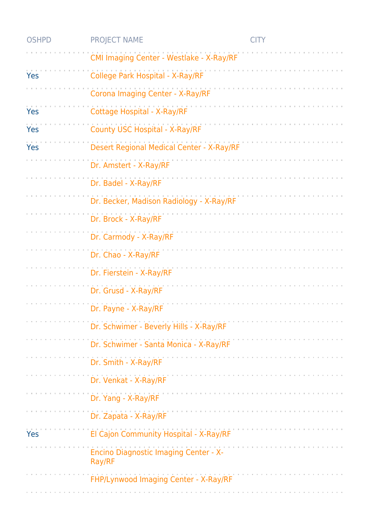| <b>OSHPD</b> | <b>PROJECT NAME</b>                                    | <b>CITY</b> |
|--------------|--------------------------------------------------------|-------------|
|              | CMI Imaging Center - Westlake - X-Ray/RF               |             |
| Yes          | College Park Hospital - X-Ray/RF                       |             |
|              | Corona Imaging Center - X-Ray/RF                       |             |
| <b>Yes</b>   | <b>Cottage Hospital - X-Ray/RF</b>                     |             |
| Yes          | County USC Hospital - X-Ray/RF                         |             |
| Yes          | Desert Regional Medical Center - X-Ray/RF              |             |
|              | Dr. Amstert - X-Ray/RF                                 |             |
|              | Dr. Badel - X-Ray/RF                                   |             |
|              | Dr. Becker, Madison Radiology - X-Ray/RF               |             |
|              | Dr. Brock - X-Ray/RF                                   |             |
|              | Dr. Carmody - X-Ray/RF                                 |             |
|              | Dr. Chao - X-Ray/RF                                    |             |
|              | Dr. Fierstein - X-Ray/RF                               |             |
|              | Dr. Grusd - X-Ray/RF                                   |             |
|              | Dr. Payne - X-Ray/RF                                   |             |
|              | Dr. Schwimer - Beverly Hills - X-Ray/RF                |             |
|              | Dr. Schwimer - Santa Monica - X-Ray/RF                 |             |
|              | Dr. Smith - X-Ray/RF                                   |             |
|              | Dr. Venkat - X-Ray/RF                                  |             |
|              | Dr. Yang - X-Ray/RF                                    |             |
|              | Dr. Zapata - X-Ray/RF                                  |             |
| Yes          | El Cajon Community Hospital - X-Ray/RF                 |             |
|              | <b>Encino Diagnostic Imaging Center - X-</b><br>Ray/RF |             |
|              | FHP/Lynwood Imaging Center - X-Ray/RF                  |             |
|              |                                                        |             |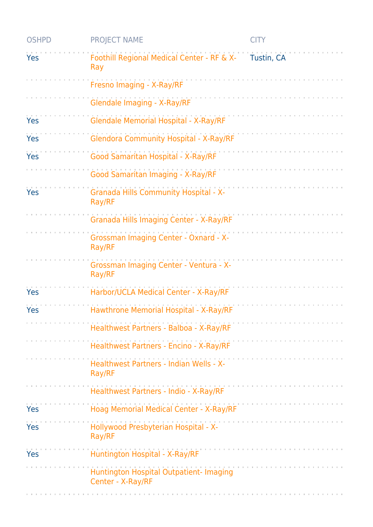| <b>OSHPD</b> | <b>PROJECT NAME</b>                                          | <b>CITY</b> |
|--------------|--------------------------------------------------------------|-------------|
| Yes          | Foothill Regional Medical Center - RF & X-<br>Ray            | Tustin, CA  |
|              | Fresno Imaging - X-Ray/RF                                    |             |
|              | <b>Glendale Imaging - X-Ray/RF</b>                           |             |
| Yes          | <b>Glendale Memorial Hospital - X-Ray/RF</b>                 |             |
| Yes          | <b>Glendora Community Hospital - X-Ray/RF</b>                |             |
| Yes          | Good Samaritan Hospital - X-Ray/RF                           |             |
|              | Good Samaritan Imaging - X-Ray/RF                            |             |
| Yes          | <b>Granada Hills Community Hospital - X-</b><br>Ray/RF       |             |
|              | Granada Hills Imaging Center - X-Ray/RF                      |             |
|              | Grossman Imaging Center - Oxnard - X-<br>Ray/RF              |             |
|              | Grossman Imaging Center - Ventura - X-<br>Ray/RF             |             |
| Yes          | Harbor/UCLA Medical Center - X-Ray/RF                        |             |
| Yes          | Hawthrone Memorial Hospital - X-Ray/RF                       |             |
|              | Healthwest Partners - Balboa - X-Ray/RF                      |             |
|              | Healthwest Partners - Encino - X-Ray/RF                      |             |
|              | Healthwest Partners - Indian Wells - X-<br>Ray/RF            |             |
|              | Healthwest Partners - Indio - X-Ray/RF                       |             |
| Yes          | Hoag Memorial Medical Center - X-Ray/RF                      |             |
| Yes          | Hollywood Presbyterian Hospital - X-<br>Ray/RF               |             |
| <b>Yes</b>   | Huntington Hospital - X-Ray/RF                               |             |
|              | Huntington Hospital Outpatient- Imaging<br>Center - X-Ray/RF |             |
|              |                                                              |             |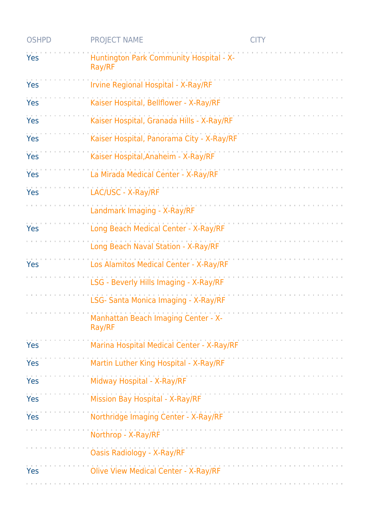| <b>OSHPD</b> | <b>PROJECT NAME</b>                               | <b>CITY</b> |
|--------------|---------------------------------------------------|-------------|
| Yes          | Huntington Park Community Hospital - X-<br>Ray/RF |             |
| Yes          | Irvine Regional Hospital - X-Ray/RF               |             |
| Yes          | Kaiser Hospital, Bellflower - X-Ray/RF            |             |
| Yes          | Kaiser Hospital, Granada Hills - X-Ray/RF         |             |
| Yes          | Kaiser Hospital, Panorama City - X-Ray/RF         |             |
| Yes          | Kaiser Hospital, Anaheim - X-Ray/RF               |             |
| Yes          | La Mirada Medical Center - X-Ray/RF               |             |
| Yes          | LAC/USC - X-Ray/RF                                |             |
|              | Landmark Imaging - X-Ray/RF                       |             |
| Yes          | Long Beach Medical Center - X-Ray/RF              |             |
|              | Long Beach Naval Station - X-Ray/RF               |             |
| Yes          | Los Alamitos Medical Center - X-Ray/RF            |             |
|              | LSG - Beverly Hills Imaging - X-Ray/RF            |             |
|              | LSG- Santa Monica Imaging - X-Ray/RF              |             |
|              | Manhattan Beach Imaging Center - X-<br>Ray/RF     |             |
| Yes          | Marina Hospital Medical Center - X-Ray/RF         |             |
| Yes          | Martin Luther King Hospital - X-Ray/RF            |             |
| Yes          | Midway Hospital - X-Ray/RF                        |             |
| Yes          | Mission Bay Hospital - X-Ray/RF                   |             |
| Yes          | Northridge Imaging Center - X-Ray/RF              |             |
|              | Northrop - X-Ray/RF                               |             |
|              | <b>Oasis Radiology - X-Ray/RF</b>                 |             |
| Yes          | <b>Olive View Medical Center - X-Ray/RF</b>       |             |
|              |                                                   |             |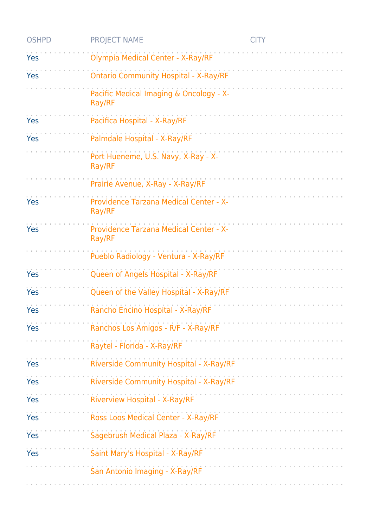| <b>OSHPD</b> | <b>PROJECT NAME</b>                               | <b>CITY</b> |
|--------------|---------------------------------------------------|-------------|
| Yes          | Olympia Medical Center - X-Ray/RF                 |             |
| Yes          | <b>Ontario Community Hospital - X-Ray/RF</b>      |             |
|              | Pacific Medical Imaging & Oncology - X-<br>Ray/RF |             |
| Yes          | Pacifica Hospital - X-Ray/RF                      |             |
| Yes          | Palmdale Hospital - X-Ray/RF                      |             |
|              | Port Hueneme, U.S. Navy, X-Ray - X-<br>Ray/RF     |             |
|              | Prairie Avenue, X-Ray - X-Ray/RF                  |             |
| Yes          | Providence Tarzana Medical Center - X-<br>Ray/RF  |             |
| Yes          | Providence Tarzana Medical Center - X-<br>Ray/RF  |             |
|              | Pueblo Radiology - Ventura - X-Ray/RF             |             |
| Yes          | Queen of Angels Hospital - X-Ray/RF               |             |
| <b>Yes</b>   | Queen of the Valley Hospital - X-Ray/RF           |             |
| Yes          | Rancho Encino Hospital - X-Ray/RF                 |             |
| Yes          | Ranchos Los Amigos - R/F - X-Ray/RF               |             |
|              | Raytel - Florida - X-Ray/RF                       |             |
| Yes          | Riverside Community Hospital - X-Ray/RF           |             |
| <b>Yes</b>   | Riverside Community Hospital - X-Ray/RF           |             |
| <b>Yes</b>   | <b>Riverview Hospital - X-Ray/RF</b>              |             |
| <b>Yes</b>   | Ross Loos Medical Center - X-Ray/RF               |             |
| Yes          | Sagebrush Medical Plaza - X-Ray/RF                |             |
| Yes          | Saint Mary's Hospital - X-Ray/RF                  |             |
|              | San Antonio Imaging - X-Ray/RF                    |             |
|              |                                                   |             |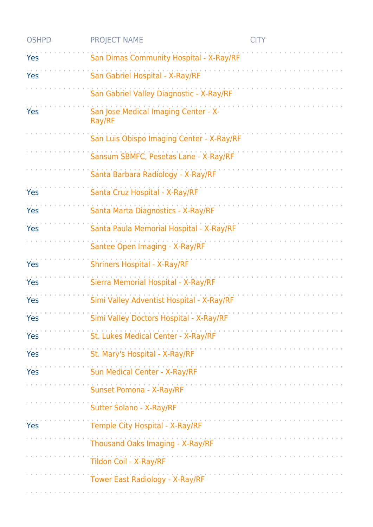| <b>OSHPD</b> | <b>PROJECT NAME</b>                            | <b>CITY</b> |
|--------------|------------------------------------------------|-------------|
| Yes          | San Dimas Community Hospital - X-Ray/RF        |             |
| Yes          | San Gabriel Hospital - X-Ray/RF                |             |
|              | San Gabriel Valley Diagnostic - X-Ray/RF       |             |
| Yes          | San Jose Medical Imaging Center - X-<br>Ray/RF |             |
|              | San Luis Obispo Imaging Center - X-Ray/RF      |             |
|              | Sansum SBMFC, Pesetas Lane - X-Ray/RF          |             |
|              | Santa Barbara Radiology - X-Ray/RF             |             |
| Yes          | Santa Cruz Hospital - X-Ray/RF                 |             |
| Yes          | Santa Marta Diagnostics - X-Ray/RF             |             |
| Yes          | Santa Paula Memorial Hospital - X-Ray/RF       |             |
|              | Santee Open Imaging - X-Ray/RF                 |             |
| Yes          | <b>Shriners Hospital - X-Ray/RF</b>            |             |
| Yes          | Sierra Memorial Hospital - X-Ray/RF            |             |
| Yes          | Simi Valley Adventist Hospital - X-Ray/RF      |             |
| Yes          | Simi Valley Doctors Hospital - X-Ray/RF        |             |
| Yes          | St. Lukes Medical Center - X-Ray/RF            |             |
| Yes          | St. Mary's Hospital - X-Ray/RF                 |             |
| Yes          | Sun Medical Center - X-Ray/RF                  |             |
|              | Sunset Pomona - X-Ray/RF                       |             |
|              | Sutter Solano - X-Ray/RF                       |             |
| Yes          | Temple City Hospital - X-Ray/RF                |             |
|              | Thousand Oaks Imaging - X-Ray/RF               |             |
|              | Tildon Coil - X-Ray/RF                         |             |
|              | Tower East Radiology - X-Ray/RF                |             |
|              |                                                |             |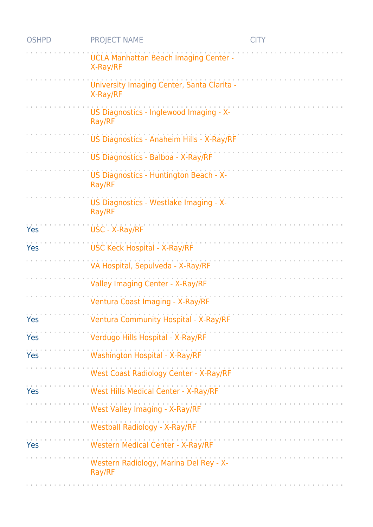| <b>OSHPD</b> | <b>PROJECT NAME</b>                                      | <b>CITY</b> |
|--------------|----------------------------------------------------------|-------------|
|              | <b>UCLA Manhattan Beach Imaging Center -</b><br>X-Ray/RF |             |
|              | University Imaging Center, Santa Clarita -<br>X-Ray/RF   |             |
|              | US Diagnostics - Inglewood Imaging - X-<br>Ray/RF        |             |
|              | US Diagnostics - Anaheim Hills - X-Ray/RF                |             |
|              | US Diagnostics - Balboa - X-Ray/RF                       |             |
|              | US Diagnostics - Huntington Beach - X-<br>Ray/RF         |             |
|              | US Diagnostics - Westlake Imaging - X-<br>Ray/RF         |             |
| Yes          | USC - X-Ray/RF                                           |             |
| Yes          | <b>USC Keck Hospital - X-Ray/RF</b>                      |             |
|              | VA Hospital, Sepulveda - X-Ray/RF                        |             |
|              | Valley Imaging Center - X-Ray/RF                         |             |
|              | Ventura Coast Imaging - X-Ray/RF                         |             |
| Yes          | Ventura Community Hospital - X-Ray/RF                    |             |
| Yes          | Verdugo Hills Hospital - X-Ray/RF                        |             |
| Yes          | Washington Hospital - X-Ray/RF                           |             |
|              | <b>West Coast Radiology Center - X-Ray/RF</b>            |             |
| Yes          | West Hills Medical Center - X-Ray/RF                     |             |
|              | West Valley Imaging - X-Ray/RF                           |             |
|              | <b>Westball Radiology - X-Ray/RF</b>                     |             |
| Yes          | <b>Western Medical Center - X-Ray/RF</b>                 |             |
|              | Western Radiology, Marina Del Rey - X-<br>Ray/RF         |             |
|              |                                                          |             |